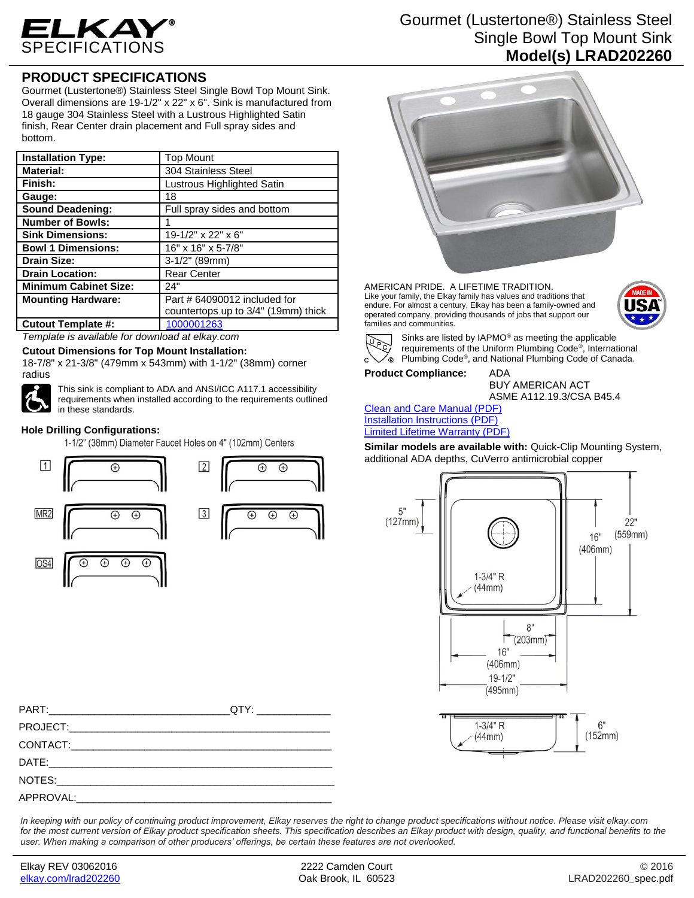

## **PRODUCT SPECIFICATIONS**

Gourmet (Lustertone®) Stainless Steel Single Bowl Top Mount Sink. Overall dimensions are 19-1/2" x 22" x 6". Sink is manufactured from 18 gauge 304 Stainless Steel with a Lustrous Highlighted Satin finish, Rear Center drain placement and Full spray sides and bottom.

| <b>Installation Type:</b>    | <b>Top Mount</b>                    |
|------------------------------|-------------------------------------|
| <b>Material:</b>             | 304 Stainless Steel                 |
| Finish:                      | Lustrous Highlighted Satin          |
| Gauge:                       | 18                                  |
| <b>Sound Deadening:</b>      | Full spray sides and bottom         |
| <b>Number of Bowls:</b>      |                                     |
| <b>Sink Dimensions:</b>      | 19-1/2" x 22" x 6"                  |
| <b>Bowl 1 Dimensions:</b>    | 16" x 16" x 5-7/8"                  |
| <b>Drain Size:</b>           | $3-1/2"$ (89mm)                     |
| <b>Drain Location:</b>       | <b>Rear Center</b>                  |
| <b>Minimum Cabinet Size:</b> | 24"                                 |
| <b>Mounting Hardware:</b>    | Part # 64090012 included for        |
|                              | countertops up to 3/4" (19mm) thick |
| <b>Cutout Template #:</b>    | 1000001263                          |

*Template is available for download at elkay.com*

**Cutout Dimensions for Top Mount Installation:**

18-7/8" x 21-3/8" (479mm x 543mm) with 1-1/2" (38mm) corner radius



This sink is compliant to ADA and ANSI/ICC A117.1 accessibility requirements when installed according to the requirements outlined in these standards.

## **Hole Drilling Configurations:**

1-1/2" (38mm) Diameter Faucet Holes on 4" (102mm) Centers





Gourmet (Lustertone®) Stainless Steel Single Bowl Top Mount Sink **Model(s) LRAD202260**



AMERICAN PRIDE. A LIFETIME TRADITION. Like your family, the Elkay family has values and traditions that endure. For almost a century, Elkay has been a family-owned and operated company, providing thousands of jobs that support our families and communities.





Sinks are listed by IAPMO® as meeting the applicable requirements of the Uniform Plumbing Code® , International Plumbing Code® , and National Plumbing Code of Canada.

**Product Compliance:** ADA

BUY AMERICAN ACT ASME A112.19.3/CSA B45.4

[Clean and Care Manual \(PDF\)](http://www.elkay.com/wcsstore/lkdocs/care-cleaning-install-warranty-sheets/residential%20and%20commercial%20care%20%20cleaning.pdf) [Installation Instructions \(PDF\)](http://www.elkay.com/wcsstore/lkdocs/care-cleaning-install-warranty-sheets/74180147.pdf) [Limited Lifetime Warranty](http://www.elkay.com/wcsstore/lkdocs/care-cleaning-install-warranty-sheets/residential%20sinks%20warranty.pdf) (PDF)

**Similar models are available with:** Quick-Clip Mounting System, additional ADA depths, CuVerro antimicrobial copper



*In keeping with our policy of continuing product improvement, Elkay reserves the right to change product specifications without notice. Please visit elkay.com for the most current version of Elkay product specification sheets. This specification describes an Elkay product with design, quality, and functional benefits to the user. When making a comparison of other producers' offerings, be certain these features are not overlooked.*